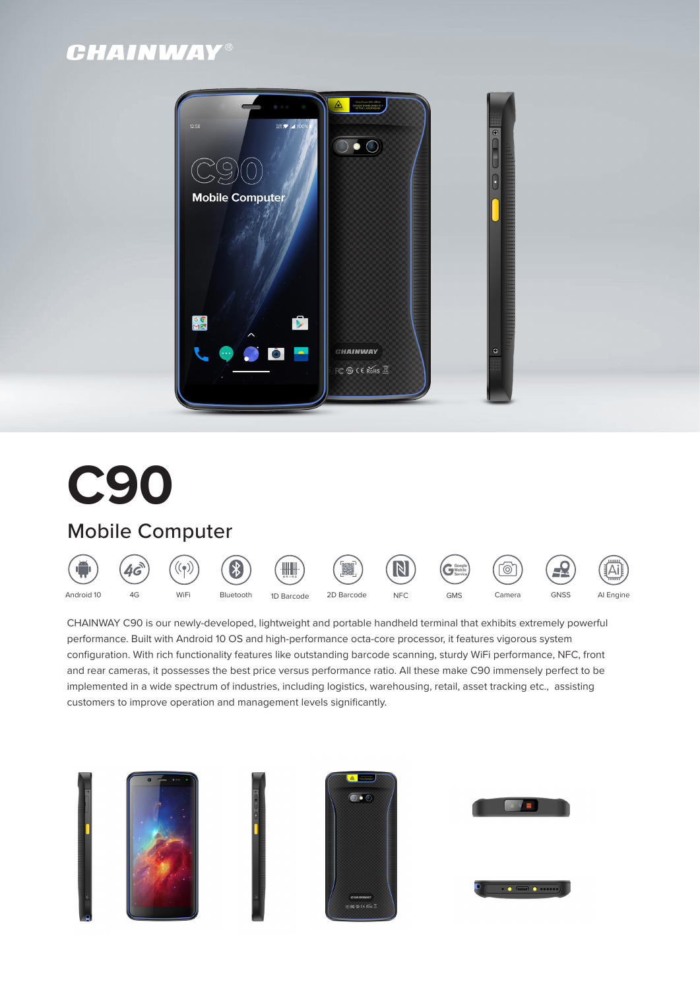# **CHAINWAY®**



# **C90**

## Mobile Computer



CHAINWAY C90 is our newly-developed, lightweight and portable handheld terminal that exhibits extremely powerful performance. Built with Android 10 OS and high-performance octa-core processor, it features vigorous system configuration. With rich functionality features like outstanding barcode scanning, sturdy WiFi performance, NFC, front and rear cameras, it possesses the best price versus performance ratio. All these make C90 immensely perfect to be implemented in a wide spectrum of industries, including logistics, warehousing, retail, asset tracking etc., assisting customers to improve operation and management levels significantly.